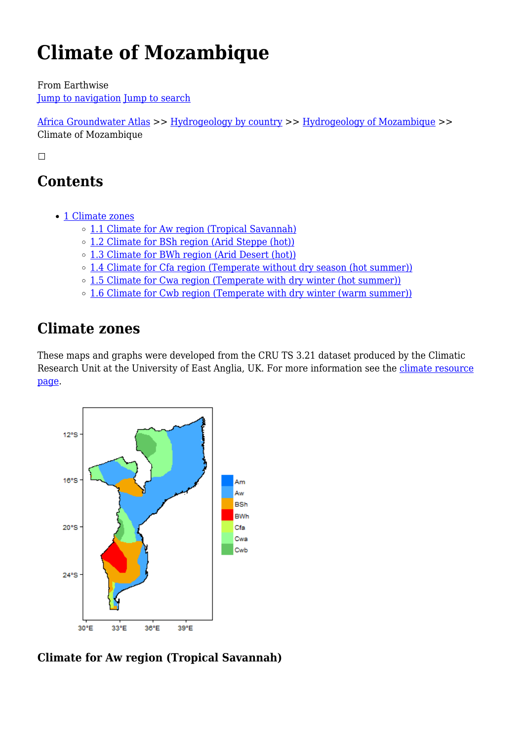# **Climate of Mozambique**

From Earthwise [Jump to navigation](#page--1-0) [Jump to search](#page--1-0)

[Africa Groundwater Atlas](http://earthwise.bgs.ac.uk/index.php/Africa_Groundwater_Atlas_Home) >> [Hydrogeology by country](http://earthwise.bgs.ac.uk/index.php/Hydrogeology_by_country) >> [Hydrogeology of Mozambique](http://earthwise.bgs.ac.uk/index.php/Hydrogeology_of_Mozambique) >> Climate of Mozambique

 $\overline{\phantom{a}}$ 

# **Contents**

- [1](#page--1-0) [Climate zones](#page--1-0)
	- [1.1](#Climate_for_Aw_region_.28Tropical_Savannah.29) [Climate for Aw region \(Tropical Savannah\)](#Climate_for_Aw_region_.28Tropical_Savannah.29)
	- [1.2](#Climate_for_BSh_region_.28Arid_Steppe_.28hot.29.29) [Climate for BSh region \(Arid Steppe \(hot\)\)](#Climate_for_BSh_region_.28Arid_Steppe_.28hot.29.29)
	- [1.3](#Climate_for_BWh_region_.28Arid_Desert_.28hot.29.29) [Climate for BWh region \(Arid Desert \(hot\)\)](#Climate_for_BWh_region_.28Arid_Desert_.28hot.29.29)
	- o [1.4](#Climate_for_Cfa_region_.28Temperate_without_dry_season_.28hot_summer.29.29) [Climate for Cfa region \(Temperate without dry season \(hot summer\)\)](#Climate_for_Cfa_region_.28Temperate_without_dry_season_.28hot_summer.29.29)
	- $\circ$  [1.5](#Climate_for_Cwa_region_.28Temperate_with_dry_winter_.28hot_summer.29.29) [Climate for Cwa region \(Temperate with dry winter \(hot summer\)\)](#Climate_for_Cwa_region_.28Temperate_with_dry_winter_.28hot_summer.29.29)
	- o [1.6](#Climate_for_Cwb_region_.28Temperate_with_dry_winter_.28warm_summer.29.29) [Climate for Cwb region \(Temperate with dry winter \(warm summer\)\)](#Climate_for_Cwb_region_.28Temperate_with_dry_winter_.28warm_summer.29.29)

# **Climate zones**

These maps and graphs were developed from the CRU TS 3.21 dataset produced by the Climatic Research Unit at the University of East Anglia, UK. For more information see the [climate resource](http://earthwise.bgs.ac.uk/index.php/Climate) [page.](http://earthwise.bgs.ac.uk/index.php/Climate)



**Climate for Aw region (Tropical Savannah)**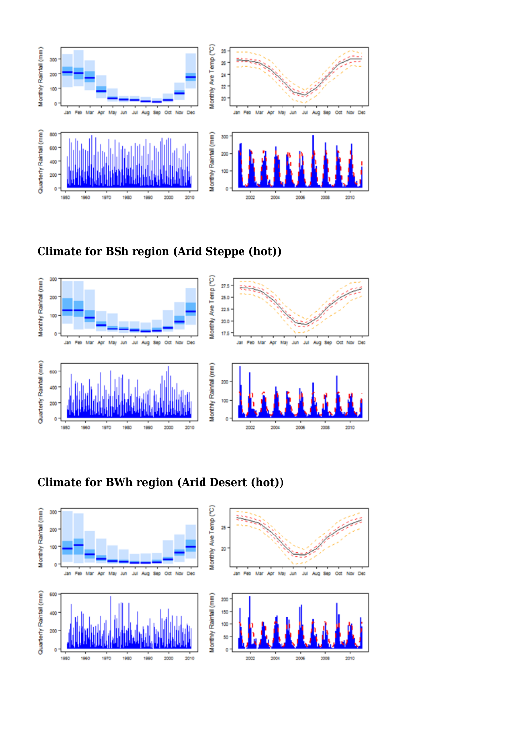

### **Climate for BSh region (Arid Steppe (hot))**



### **Climate for BWh region (Arid Desert (hot))**

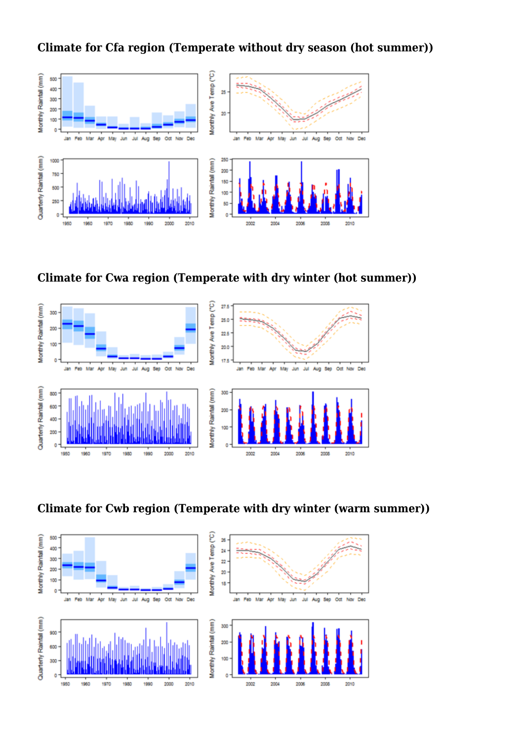**Climate for Cfa region (Temperate without dry season (hot summer))**









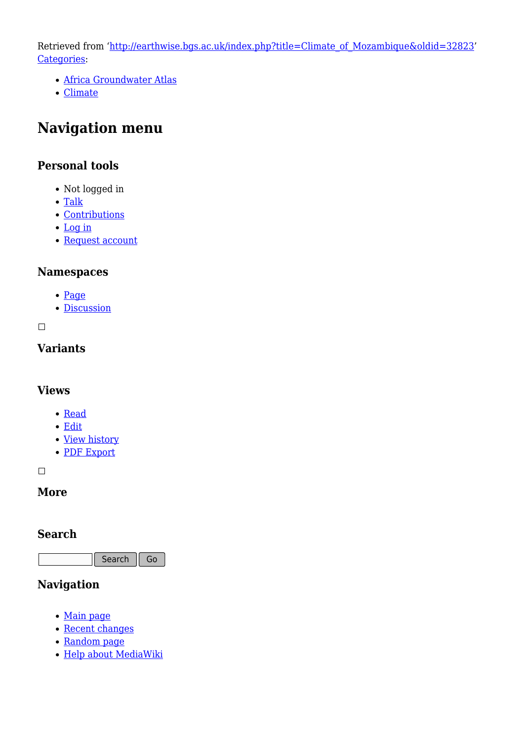Retrieved from ['http://earthwise.bgs.ac.uk/index.php?title=Climate\\_of\\_Mozambique&oldid=32823'](http://earthwise.bgs.ac.uk/index.php?title=Climate_of_Mozambique&oldid=32823) [Categories:](http://earthwise.bgs.ac.uk/index.php/Special:Categories)

- [Africa Groundwater Atlas](http://earthwise.bgs.ac.uk/index.php/Category:Africa_Groundwater_Atlas)
- [Climate](http://earthwise.bgs.ac.uk/index.php/Category:Climate)

## **Navigation menu**

#### **Personal tools**

- Not logged in
- [Talk](http://earthwise.bgs.ac.uk/index.php/Special:MyTalk)
- [Contributions](http://earthwise.bgs.ac.uk/index.php/Special:MyContributions)
- [Log in](http://earthwise.bgs.ac.uk/index.php?title=Special:UserLogin&returnto=Climate+of+Mozambique&returntoquery=action%3Dmpdf)
- [Request account](http://earthwise.bgs.ac.uk/index.php/Special:RequestAccount)

#### **Namespaces**

- [Page](http://earthwise.bgs.ac.uk/index.php/Climate_of_Mozambique)
- [Discussion](http://earthwise.bgs.ac.uk/index.php?title=Talk:Climate_of_Mozambique&action=edit&redlink=1)

 $\Box$ 

#### **Variants**

#### **Views**

- [Read](http://earthwise.bgs.ac.uk/index.php/Climate_of_Mozambique)
- [Edit](http://earthwise.bgs.ac.uk/index.php?title=Climate_of_Mozambique&action=edit)
- [View history](http://earthwise.bgs.ac.uk/index.php?title=Climate_of_Mozambique&action=history)
- [PDF Export](http://earthwise.bgs.ac.uk/index.php?title=Climate_of_Mozambique&action=mpdf)

 $\overline{\phantom{a}}$ 

#### **More**

#### **Search**

Search  $\|$  Go

#### **Navigation**

- [Main page](http://earthwise.bgs.ac.uk/index.php/Main_Page)
- [Recent changes](http://earthwise.bgs.ac.uk/index.php/Special:RecentChanges)
- [Random page](http://earthwise.bgs.ac.uk/index.php/Special:Random)
- [Help about MediaWiki](https://www.mediawiki.org/wiki/Special:MyLanguage/Help:Contents)